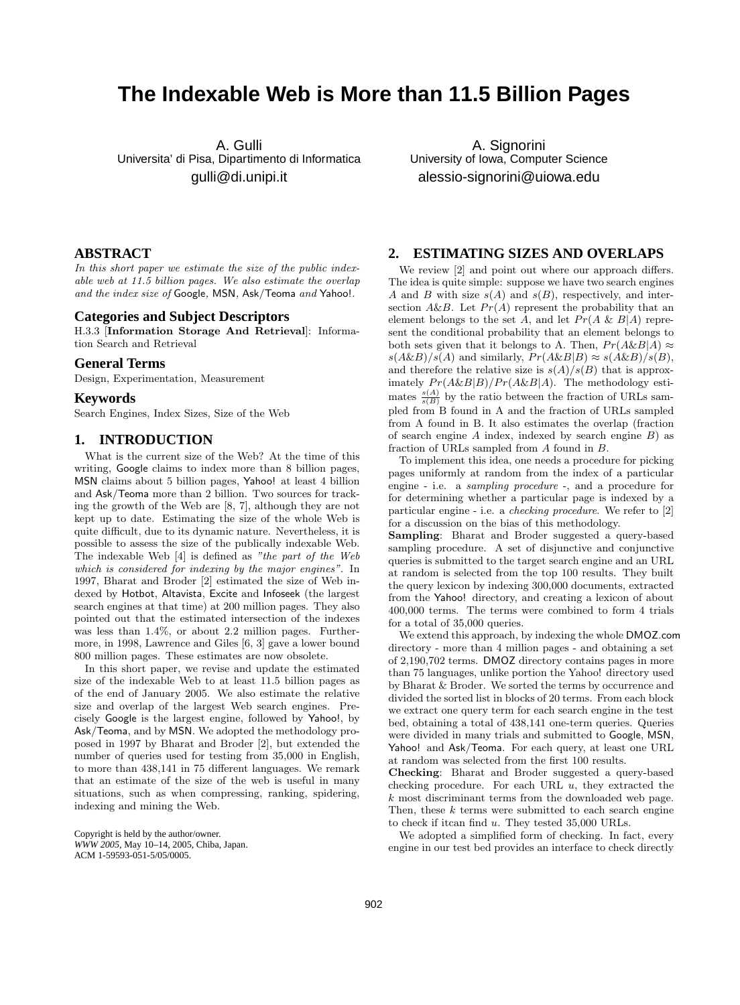# **The Indexable Web is More than 11.5 Billion Pages**

A. Gulli Universita' di Pisa, Dipartimento di Informatica gulli@di.unipi.it

A. Signorini University of Iowa, Computer Science alessio-signorini@uiowa.edu

# **ABSTRACT**

In this short paper we estimate the size of the public indexable web at 11.5 billion pages. We also estimate the overlap and the index size of Google, MSN, Ask/Teoma and Yahoo!.

#### **Categories and Subject Descriptors**

H.3.3 [Information Storage And Retrieval]: Information Search and Retrieval

# **General Terms**

Design, Experimentation, Measurement

## **Keywords**

Search Engines, Index Sizes, Size of the Web

# **1. INTRODUCTION**

What is the current size of the Web? At the time of this writing, Google claims to index more than 8 billion pages, MSN claims about 5 billion pages, Yahoo! at least 4 billion and Ask/Teoma more than 2 billion. Two sources for tracking the growth of the Web are [8, 7], although they are not kept up to date. Estimating the size of the whole Web is quite difficult, due to its dynamic nature. Nevertheless, it is possible to assess the size of the publically indexable Web. The indexable Web [4] is defined as "the part of the Web which is considered for indexing by the major engines". In 1997, Bharat and Broder [2] estimated the size of Web indexed by Hotbot, Altavista, Excite and Infoseek (the largest search engines at that time) at 200 million pages. They also pointed out that the estimated intersection of the indexes was less than 1.4%, or about 2.2 million pages. Furthermore, in 1998, Lawrence and Giles [6, 3] gave a lower bound 800 million pages. These estimates are now obsolete.

In this short paper, we revise and update the estimated size of the indexable Web to at least 11.5 billion pages as of the end of January 2005. We also estimate the relative size and overlap of the largest Web search engines. Precisely Google is the largest engine, followed by Yahoo!, by Ask/Teoma, and by MSN. We adopted the methodology proposed in 1997 by Bharat and Broder [2], but extended the number of queries used for testing from 35,000 in English, to more than 438,141 in 75 different languages. We remark that an estimate of the size of the web is useful in many situations, such as when compressing, ranking, spidering, indexing and mining the Web.

Copyright is held by the author/owner. *WWW 2005,* May 10–14, 2005, Chiba, Japan. ACM 1-59593-051-5/05/0005.

# **2. ESTIMATING SIZES AND OVERLAPS**

We review [2] and point out where our approach differs. The idea is quite simple: suppose we have two search engines A and B with size  $s(A)$  and  $s(B)$ , respectively, and intersection A&B. Let  $Pr(A)$  represent the probability that an element belongs to the set A, and let  $Pr(A \& B|A)$  represent the conditional probability that an element belongs to both sets given that it belongs to A. Then,  $Pr(A\&B|A) \approx$  $s(A\&B)/s(A)$  and similarly,  $Pr(A\&B|B) \approx s(A\&B)/s(B)$ , and therefore the relative size is  $s(A)/s(B)$  that is approximately  $Pr(A\&B|B)/Pr(A\&B|A)$ . The methodology estimates  $\frac{s(A)}{s(B)}$  by the ratio between the fraction of URLs sampled from B found in A and the fraction of URLs sampled from A found in B. It also estimates the overlap (fraction of search engine  $A$  index, indexed by search engine  $B$ ) as fraction of URLs sampled from A found in B.

To implement this idea, one needs a procedure for picking pages uniformly at random from the index of a particular engine - i.e. a sampling procedure -, and a procedure for for determining whether a particular page is indexed by a particular engine - i.e. a checking procedure. We refer to [2] for a discussion on the bias of this methodology.

Sampling: Bharat and Broder suggested a query-based sampling procedure. A set of disjunctive and conjunctive queries is submitted to the target search engine and an URL at random is selected from the top 100 results. They built the query lexicon by indexing 300,000 documents, extracted from the Yahoo! directory, and creating a lexicon of about 400,000 terms. The terms were combined to form 4 trials for a total of 35,000 queries.

We extend this approach, by indexing the whole DMOZ.com directory - more than 4 million pages - and obtaining a set of 2,190,702 terms. DMOZ directory contains pages in more than 75 languages, unlike portion the Yahoo! directory used by Bharat & Broder. We sorted the terms by occurrence and divided the sorted list in blocks of 20 terms. From each block we extract one query term for each search engine in the test bed, obtaining a total of 438,141 one-term queries. Queries were divided in many trials and submitted to Google, MSN, Yahoo! and Ask/Teoma. For each query, at least one URL at random was selected from the first 100 results.

Checking: Bharat and Broder suggested a query-based checking procedure. For each URL  $u$ , they extracted the k most discriminant terms from the downloaded web page. Then, these  $k$  terms were submitted to each search engine to check if it<br>can find  $u$ . They tested 35,000 URLs.

We adopted a simplified form of checking. In fact, every engine in our test bed provides an interface to check directly